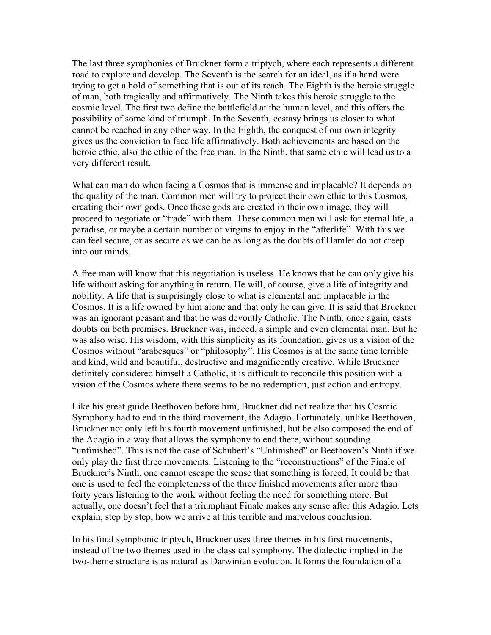The last three symphonies of Bruckner form a triptych, where each represents a different road to explore and develop. The Seventh is the search for an ideal, as if a hand were trying to get a hold of something that is out of its reach. The Eighth is the heroic struggle of man, both tragically and affirmatively. The Ninth takes this heroic struggle to the cosmic level. The first two define the battlefield at the human level, and this offers the possibility of some kind of triumph. In the Seventh, ecstasy brings us closer to what cannot be reached in any other way. In the Eighth, the conquest of our own integrity gives us the conviction to face life affirmatively. Both achievements are based on the heroic ethic, also the ethic of the free man. In the Ninth, that same ethic will lead us to a very different result.

What can man do when facing a Cosmos that is immense and implacable? It depends on the quality of the man. Common men will try to project their own ethic to this Cosmos, creating their own gods. Once these gods are created in their own image, they will proceed to negotiate or "trade" with them. These common men will ask for eternal life, a paradise, or maybe a certain number of virgins to enjoy in the "afterlife". With this we can feel secure, or as secure as we can be as long as the doubts of Hamlet do not creep into our minds.

A free man will know that this negotiation is useless. He knows that he can only give his life without asking for anything in return. He will, of course, give a life of integrity and nobility. A life that is surprisingly close to what is elemental and implacable in the Cosmos. It is a life owned by him alone and that only he can give. It is said that Bruckner was an ignorant peasant and that he was devoutly Catholic. The Ninth, once again, casts doubts on both premises. Bruckner was, indeed, a simple and even elemental man. But he was also wise. His wisdom, with this simplicity as its foundation, gives us a vision of the Cosmos without "arabesques" or "philosophy". His Cosmos is at the same time terrible and kind, wild and beautiful, destructive and magnificently creative. While Bruckner definitely considered himself a Catholic, it is difficult to reconcile this position with a vision of the Cosmos where there seems to be no redemption, just action and entropy.

Like his great guide Beethoven before him, Bruckner did not realize that his Cosmic Symphony had to end in the third movement, the Adagio. Fortunately, unlike Beethoven, Bruckner not only left his fourth movement unfinished, but he also composed the end of the Adagio in a way that allows the symphony to end there, without sounding "unfinished". This is not the case of Schubert's "Unfinished" or Beethoven's Ninth if we only play the first three movements. Listening to the "reconstructions" of the Finale of Bruckner's Ninth, one cannot escape the sense that something is forced, It could be that one is used to feel the completeness of the three finished movements after more than forty years listening to the work without feeling the need for something more. But actually, one doesn't feel that a triumphant Finale makes any sense after this Adagio. Lets explain, step by step, how we arrive at this terrible and marvelous conclusion.

In his final symphonic triptych, Bruckner uses three themes in his first movements, instead of the two themes used in the classical symphony. The dialectic implied in the two-theme structure is as natural as Darwinian evolution. It forms the foundation of a